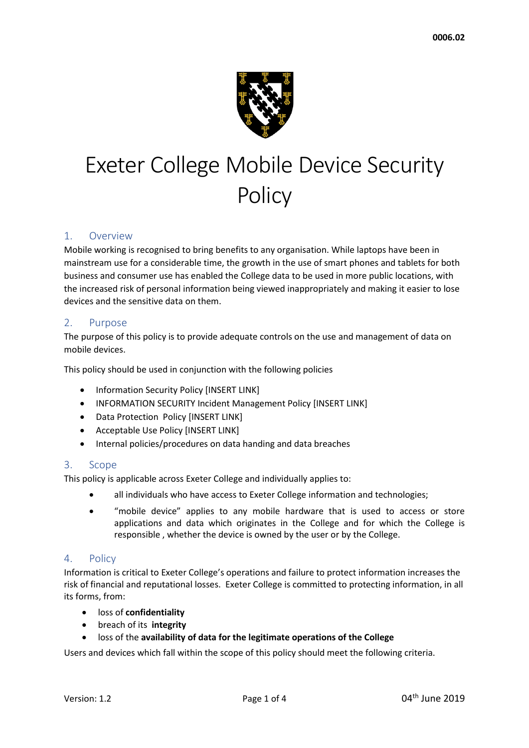

# Exeter College Mobile Device Security **Policy**

# 1. Overview

Mobile working is recognised to bring benefits to any organisation. While laptops have been in mainstream use for a considerable time, the growth in the use of smart phones and tablets for both business and consumer use has enabled the College data to be used in more public locations, with the increased risk of personal information being viewed inappropriately and making it easier to lose devices and the sensitive data on them.

# 2. Purpose

The purpose of this policy is to provide adequate controls on the use and management of data on mobile devices.

This policy should be used in conjunction with the following policies

- Information Security Policy [INSERT LINK]
- INFORMATION SECURITY Incident Management Policy [INSERT LINK]
- Data Protection Policy [INSERT LINK]
- Acceptable Use Policy [INSERT LINK]
- Internal policies/procedures on data handing and data breaches

# 3. Scope

This policy is applicable across Exeter College and individually applies to:

- all individuals who have access to Exeter College information and technologies;
- "mobile device" applies to any mobile hardware that is used to access or store applications and data which originates in the College and for which the College is responsible , whether the device is owned by the user or by the College.

# 4. Policy

Information is critical to Exeter College's operations and failure to protect information increases the risk of financial and reputational losses. Exeter College is committed to protecting information, in all its forms, from:

- loss of **confidentiality**
- breach of its **integrity**
- loss of the **availability of data for the legitimate operations of the College**

Users and devices which fall within the scope of this policy should meet the following criteria.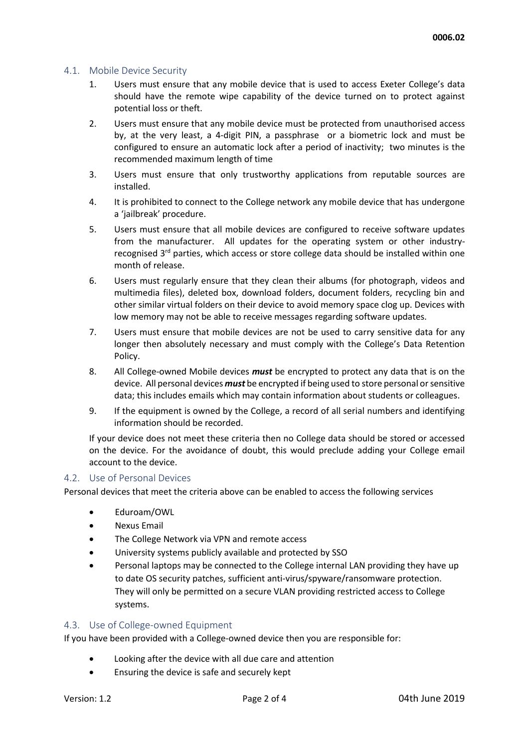#### 4.1. Mobile Device Security

- 1. Users must ensure that any mobile device that is used to access Exeter College's data should have the remote wipe capability of the device turned on to protect against potential loss or theft.
- 2. Users must ensure that any mobile device must be protected from unauthorised access by, at the very least, a 4-digit PIN, a passphrase or a biometric lock and must be configured to ensure an automatic lock after a period of inactivity; two minutes is the recommended maximum length of time
- 3. Users must ensure that only trustworthy applications from reputable sources are installed.
- 4. It is prohibited to connect to the College network any mobile device that has undergone a 'jailbreak' procedure.
- 5. Users must ensure that all mobile devices are configured to receive software updates from the manufacturer. All updates for the operating system or other industryrecognised 3<sup>rd</sup> parties, which access or store college data should be installed within one month of release.
- 6. Users must regularly ensure that they clean their albums (for photograph, videos and multimedia files), deleted box, download folders, document folders, recycling bin and other similar virtual folders on their device to avoid memory space clog up. Devices with low memory may not be able to receive messages regarding software updates.
- 7. Users must ensure that mobile devices are not be used to carry sensitive data for any longer then absolutely necessary and must comply with the College's Data Retention Policy.
- 8. All College-owned Mobile devices *must* be encrypted to protect any data that is on the device. All personal devices *must* be encrypted if being used to store personal or sensitive data; this includes emails which may contain information about students or colleagues.
- 9. If the equipment is owned by the College, a record of all serial numbers and identifying information should be recorded.

If your device does not meet these criteria then no College data should be stored or accessed on the device. For the avoidance of doubt, this would preclude adding your College email account to the device.

#### 4.2. Use of Personal Devices

Personal devices that meet the criteria above can be enabled to access the following services

- Eduroam/OWL
- Nexus Email
- The College Network via VPN and remote access
- University systems publicly available and protected by SSO
- Personal laptops may be connected to the College internal LAN providing they have up to date OS security patches, sufficient anti-virus/spyware/ransomware protection. They will only be permitted on a secure VLAN providing restricted access to College systems.

#### 4.3. Use of College-owned Equipment

If you have been provided with a College-owned device then you are responsible for:

- Looking after the device with all due care and attention
- Ensuring the device is safe and securely kept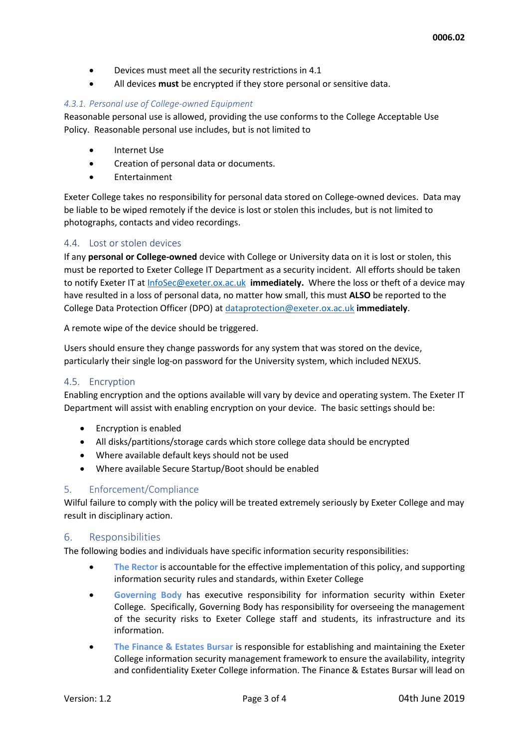- Devices must meet all the security restrictions in 4.1
- All devices **must** be encrypted if they store personal or sensitive data.

#### *4.3.1. Personal use of College-owned Equipment*

Reasonable personal use is allowed, providing the use conforms to the College Acceptable Use Policy. Reasonable personal use includes, but is not limited to

- Internet Use
- Creation of personal data or documents.
- Entertainment

Exeter College takes no responsibility for personal data stored on College-owned devices. Data may be liable to be wiped remotely if the device is lost or stolen this includes, but is not limited to photographs, contacts and video recordings.

#### 4.4. Lost or stolen devices

If any **personal or College-owned** device with College or University data on it is lost or stolen, this must be reported to Exeter College IT Department as a security incident. All efforts should be taken to notify Exeter IT a[t InfoSec@exeter.ox.ac.uk](mailto:InfoSec@exeter.ox.ac.uk) **immediately.** Where the loss or theft of a device may have resulted in a loss of personal data, no matter how small, this must **ALSO** be reported to the College Data Protection Officer (DPO) at [dataprotection@exeter.ox.ac.uk](mailto:dataprotection@exeter.ox.ac.uk) **immediately**.

A remote wipe of the device should be triggered.

Users should ensure they change passwords for any system that was stored on the device, particularly their single log-on password for the University system, which included NEXUS.

#### 4.5. Encryption

Enabling encryption and the options available will vary by device and operating system. The Exeter IT Department will assist with enabling encryption on your device. The basic settings should be:

- Encryption is enabled
- All disks/partitions/storage cards which store college data should be encrypted
- Where available default keys should not be used
- Where available Secure Startup/Boot should be enabled

# 5. Enforcement/Compliance

Wilful failure to comply with the policy will be treated extremely seriously by Exeter College and may result in disciplinary action.

# 6. Responsibilities

The following bodies and individuals have specific information security responsibilities:

- **The Rector** is accountable for the effective implementation of this policy, and supporting information security rules and standards, within Exeter College
- **Governing Body** has executive responsibility for information security within Exeter College.Specifically, Governing Body has responsibility for overseeing the management of the security risks to Exeter College staff and students, its infrastructure and its information.
- **The Finance & Estates Bursar is responsible for establishing and maintaining the Exeter** College information security management framework to ensure the availability, integrity and confidentiality Exeter College information. The Finance & Estates Bursar will lead on